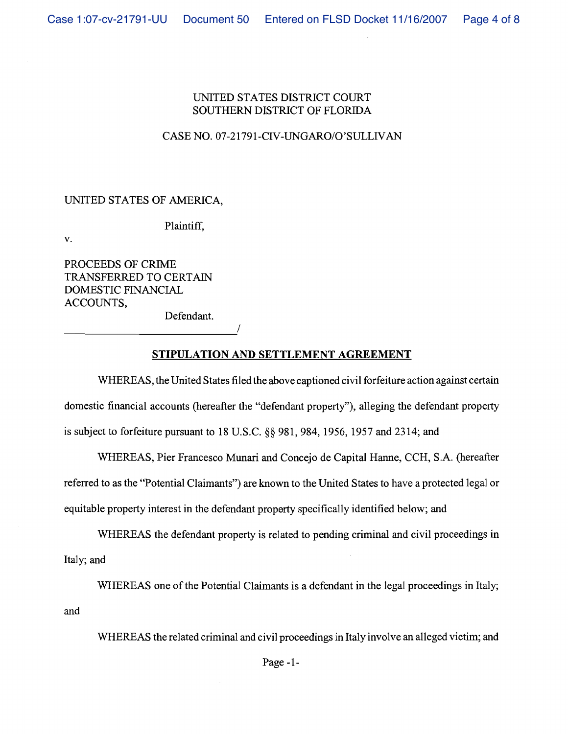## UNITED STATES DISTRICT COURT SOUTHERN DISTRICT OF FLORIDA

## CASE NO. 07-21791-CIV-UNGARO/O'SULLIVAN

## UNITED STATES OF AMERICA,

Plaintiff,

v.

PROCEEDS OF CRIME TRANSFERRED TO CERTAIN DOMESTIC FINANCIAL ACCOUNTS, Defendant.

*1* 

## **STIPULATION AND SETTLEMENT AGREEMENT**

WHEREAS, the United States filed the above captioned civil forfeiture action against certain domestic financial accounts (hereafter the "defendant property"), alleging the defendant property is subject to forfeiture pursuant to 18 U.S.C. *\$5* 981,984, 1956, 1957 and 2314; and

WHEREAS, Pier Francesco Munari and Concejo de Capital Hanne, CCH, S.A. (hereafter referred to as the "Potential Claimants") are known to the United States to have a protected legal or equitable property interest in the defendant property specifically identified below; and

WHEREAS the defendant property is related to pending criminal and civil proceedings in Italy; and

WHEREAS one of the Potential Claimants is a defendant in the legal proceedings in Italy; and

WHEREAS the related criminal and civil proceedings in Italy involve an alleged victim; and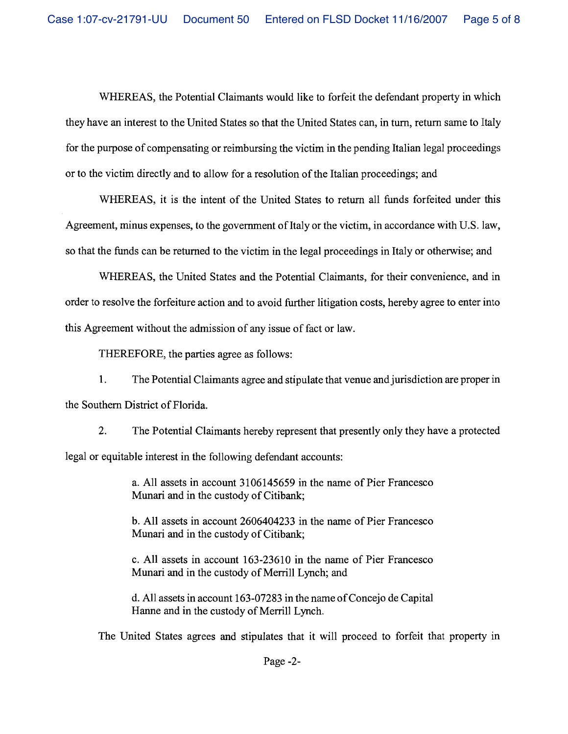Case 1:07-cv-21791-UU Document 50 Entered on FLSD Docket 11/16/2007 Page 5 of 8

WHEREAS, the Potential Claimants would like to forfeit the defendant property in which they have an interest to the United States so that the United States can, in turn, return same to Italy for the purpose of compensating or reimbursing the victim in the pending Italian legal proceedings or to the victim directly and to allow for a resolution of the Italian proceedings; and

WHEREAS, it is the intent of the United States to return all funds forfeited under this Agreement, minus expenses, to the government of Italy or the victim, in accordance with U.S. law, so that the funds can be returned to the victim in the legal proceedings in Italy or otherwise; and

WHEREAS, the United States and the Potential Claimants, for their convenience, and in order to resolve the forfeiture action and to avoid further litigation costs, hereby agree to enter into this Agreement without the admission of any issue of fact or law

THEREFORE, the parties agree as follows:

**1.** The Potential Claimants agree and stipulate that venue and jurisdiction are proper in the Southern District of Florida.

**2.** The Potential Claimants hereby represent that presently only they have a protected legal or equitable interest in the following defendant accounts:

> a. All assets in account **3106145659** in the name of Pier Francesco Munari and in the custody of Citibank;

> b. All assets in account **2606404233** in the name of Pier Francesco Munari and in the custody of Citibank;

> c. All assets in account **163-23610** in the name of Pier Francesco Munari and in the custody of Merrill Lynch; and

> d. All assets in account **163-07283** in the name of Concejo de Capital Hanne and in the custody of Merrill Lynch.

The United States agrees and stipulates that it will proceed to forfeit that property in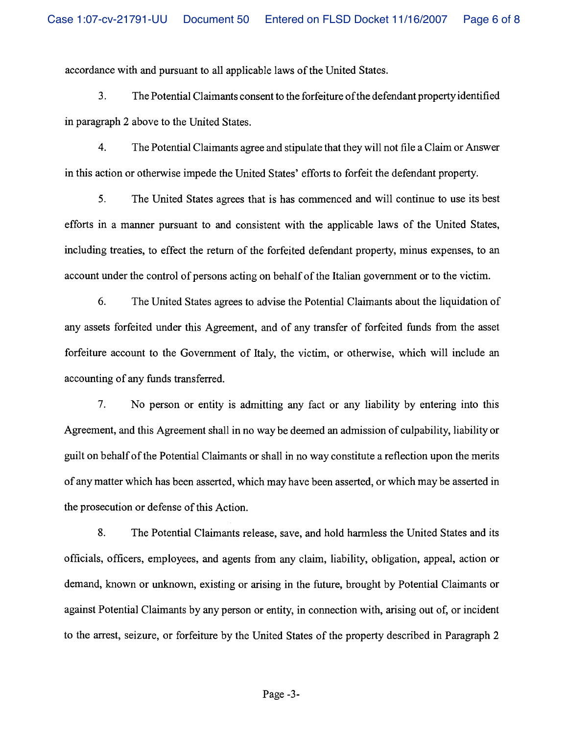accordance with and pursuant to all applicable laws of the United States.

3. The Potential Claimants consent to the forfeiture of the defendant property identified in paragraph 2 above to the United States.

4. The Potential Claimants agree and stipulate that they will not file a Claim or Answer in this action or otherwise impede the United States' efforts to forfeit the defendant property.

*5.* The United States agrees that is has commenced and will continue to use its best efforts in a manner pursuant to and consistent with the applicable laws of the United States, including treaties, to effect the return of the forfeited defendant property, minus expenses, to an account under the control of persons acting on behalf of the Italian government or to the victim.

*6.* The United States agrees to advise the Potential Claimants about the liquidation of any assets forfeited under this Agreement, and of any transfer of forfeited funds from the asset forfeiture account to the Government of Italy, the victim, or otherwise, which will include an accounting of any funds transferred.

*7.* No person or entity is admitting any fact or any liability by entering into this Agreement, and this Agreement shall in no way be deemed an admission of culpability, liability or guilt on behalf of the Potential Claimants or shall in no way constitute a reflection upon the merits of any matter which has been asserted, which may have been asserted, or which may be asserted in the prosecution or defense of this Action.

8. The Potential Claimants release, save, and hold harmless the United States and its officials, officers, employees, and agents from any claim, liability, obligation, appeal, action or demand, known or unknown, existing or arising in the future, brought by Potential Claimants or against Potential Claimants by any person or entity, in connection with, arising out of, or incident to the arrest, seizure, or forfeiture by the United States of the property described in Paragraph 2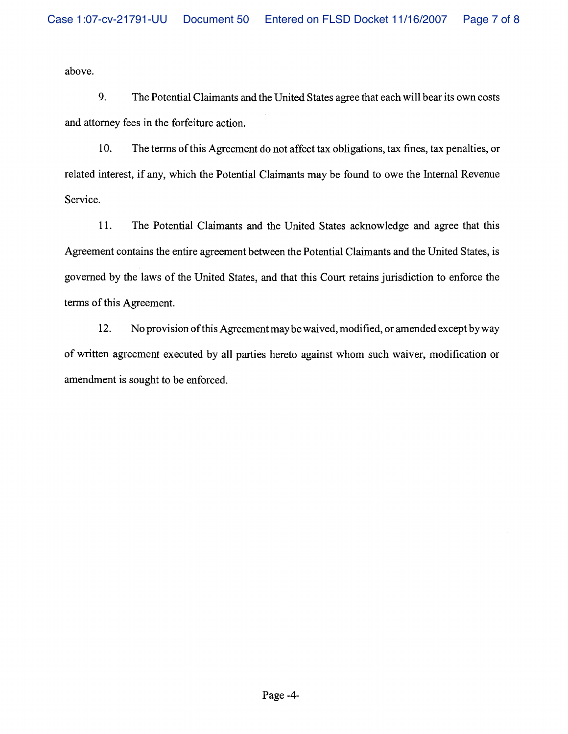above.

**9.** The Potential Claimants and the United States agree that each will bear its own costs and attorney fees in the forfeiture action.

10. The terms of this Agreement do not affect tax obligations, tax fines, tax penalties, or related interest, if any, which the Potential Claimants may be found to owe the Internal Revenue Service.

11. The Potential Claimants and the United States acknowledge and agree that this Agreement contains the entire agreement between the Potential Claimants and the United States, is governed by the laws of the United States, and that this Court retains jurisdiction to enforce the terms of this Agreement.

12. No provision of this Agreement may be waived, modified, or amended except byway of written agreement executed by all parties hereto against whom such waiver, modification or amendment is sought to be enforced.